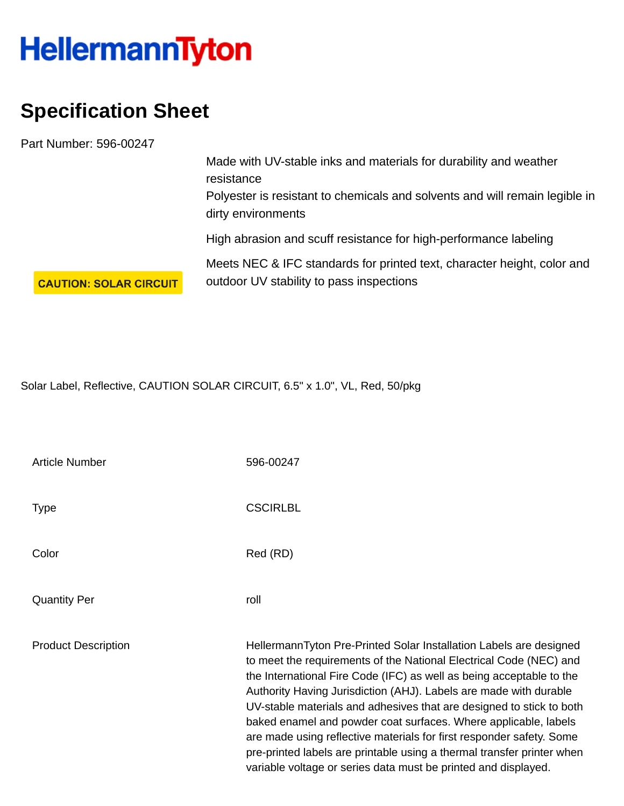## **HellermannTyton**

## **Specification Sheet**

Part Number: 596-00247

Made with UV-stable inks and materials for durability and weather resistance Polyester is resistant to chemicals and solvents and will remain legible in dirty environments High abrasion and scuff resistance for high-performance labeling

Meets NEC & IFC standards for printed text, character height, color and outdoor UV stability to pass inspections

**CAUTION: SOLAR CIRCUIT** 

Solar Label, Reflective, CAUTION SOLAR CIRCUIT, 6.5" x 1.0", VL, Red, 50/pkg

| <b>Article Number</b>      | 596-00247                                                                                                                                                                                                                                                                                                                                                                                                                                                                                                                                                                                                                                            |
|----------------------------|------------------------------------------------------------------------------------------------------------------------------------------------------------------------------------------------------------------------------------------------------------------------------------------------------------------------------------------------------------------------------------------------------------------------------------------------------------------------------------------------------------------------------------------------------------------------------------------------------------------------------------------------------|
| Type                       | <b>CSCIRLBL</b>                                                                                                                                                                                                                                                                                                                                                                                                                                                                                                                                                                                                                                      |
| Color                      | Red (RD)                                                                                                                                                                                                                                                                                                                                                                                                                                                                                                                                                                                                                                             |
| <b>Quantity Per</b>        | roll                                                                                                                                                                                                                                                                                                                                                                                                                                                                                                                                                                                                                                                 |
| <b>Product Description</b> | HellermannTyton Pre-Printed Solar Installation Labels are designed<br>to meet the requirements of the National Electrical Code (NEC) and<br>the International Fire Code (IFC) as well as being acceptable to the<br>Authority Having Jurisdiction (AHJ). Labels are made with durable<br>UV-stable materials and adhesives that are designed to stick to both<br>baked enamel and powder coat surfaces. Where applicable, labels<br>are made using reflective materials for first responder safety. Some<br>pre-printed labels are printable using a thermal transfer printer when<br>variable voltage or series data must be printed and displayed. |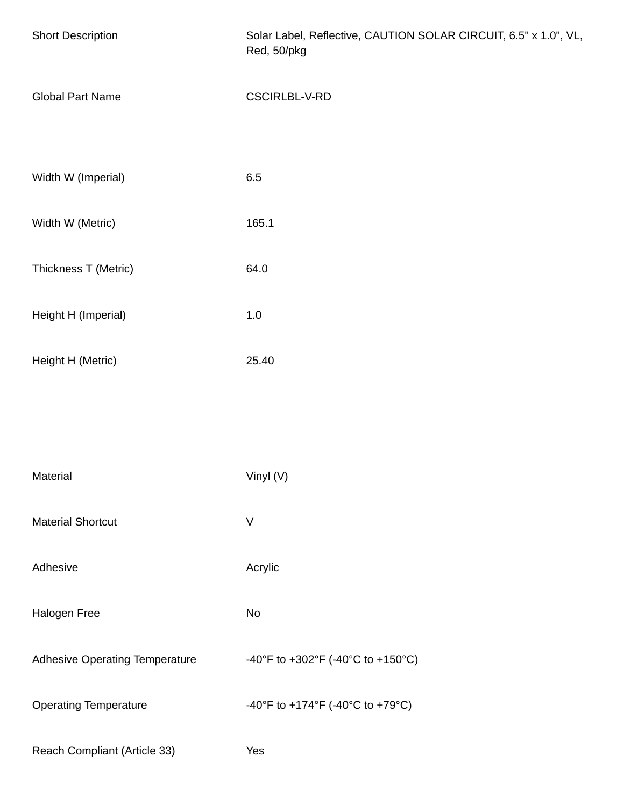| <b>Short Description</b>              | Solar Label, Reflective, CAUTION SOLAR CIRCUIT, 6.5" x 1.0", VL,<br>Red, 50/pkg |
|---------------------------------------|---------------------------------------------------------------------------------|
| <b>Global Part Name</b>               | CSCIRLBL-V-RD                                                                   |
|                                       |                                                                                 |
| Width W (Imperial)                    | 6.5                                                                             |
| Width W (Metric)                      | 165.1                                                                           |
| Thickness T (Metric)                  | 64.0                                                                            |
| Height H (Imperial)                   | $1.0\,$                                                                         |
| Height H (Metric)                     | 25.40                                                                           |
|                                       |                                                                                 |
|                                       |                                                                                 |
| Material                              | Vinyl (V)                                                                       |
| <b>Material Shortcut</b>              | $\vee$                                                                          |
| Adhesive                              | Acrylic                                                                         |
| Halogen Free                          | No                                                                              |
| <b>Adhesive Operating Temperature</b> | -40°F to +302°F (-40°C to +150°C)                                               |
| <b>Operating Temperature</b>          | -40°F to +174°F (-40°C to +79°C)                                                |
| Reach Compliant (Article 33)          | Yes                                                                             |